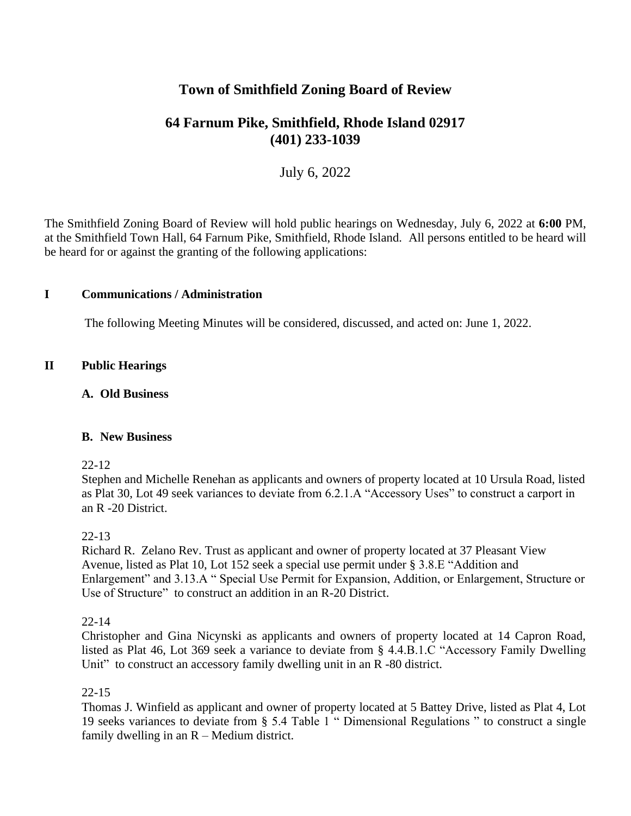# **Town of Smithfield Zoning Board of Review**

# **64 Farnum Pike, Smithfield, Rhode Island 02917 (401) 233-1039**

# July 6, 2022

The Smithfield Zoning Board of Review will hold public hearings on Wednesday, July 6, 2022 at **6:00** PM, at the Smithfield Town Hall, 64 Farnum Pike, Smithfield, Rhode Island. All persons entitled to be heard will be heard for or against the granting of the following applications:

## **I Communications / Administration**

The following Meeting Minutes will be considered, discussed, and acted on: June 1, 2022.

# **II Public Hearings**

## **A. Old Business**

#### **B. New Business**

#### 22-12

Stephen and Michelle Renehan as applicants and owners of property located at 10 Ursula Road, listed as Plat 30, Lot 49 seek variances to deviate from 6.2.1.A "Accessory Uses" to construct a carport in an R -20 District.

#### 22-13

Richard R. Zelano Rev. Trust as applicant and owner of property located at 37 Pleasant View Avenue, listed as Plat 10, Lot 152 seek a special use permit under § 3.8.E "Addition and Enlargement" and 3.13.A " Special Use Permit for Expansion, Addition, or Enlargement, Structure or Use of Structure" to construct an addition in an R-20 District.

#### 22-14

Christopher and Gina Nicynski as applicants and owners of property located at 14 Capron Road, listed as Plat 46, Lot 369 seek a variance to deviate from § 4.4.B.1.C "Accessory Family Dwelling Unit" to construct an accessory family dwelling unit in an R -80 district.

#### 22-15

Thomas J. Winfield as applicant and owner of property located at 5 Battey Drive, listed as Plat 4, Lot 19 seeks variances to deviate from § 5.4 Table 1 " Dimensional Regulations " to construct a single family dwelling in an  $R -$  Medium district.